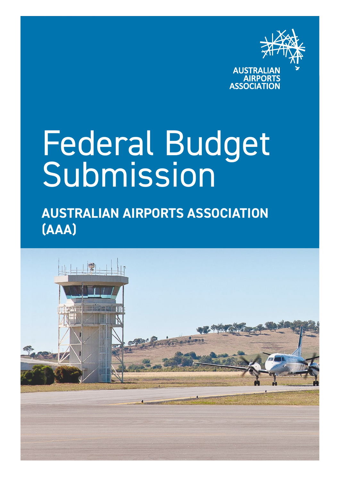

# Federal Budget Submission

**AUSTRALIAN AIRPORTS ASSOCIATION (AAA)**

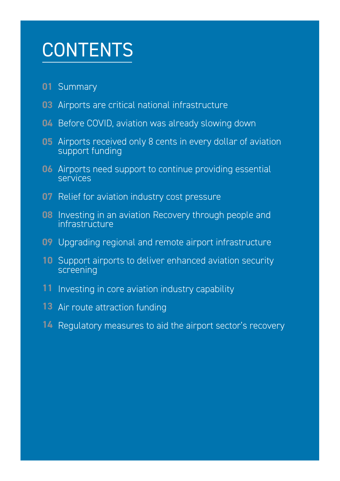# **CONTENTS**

- Summary
- Airports are critical national infrastructure
- Before COVID, aviation was already slowing down
- Airports received only 8 cents in every dollar of aviation support funding
- Airports need support to continue providing essential services
- Relief for aviation industry cost pressure
- Investing in an aviation Recovery through people and infrastructure
- Upgrading regional and remote airport infrastructure
- Support airports to deliver enhanced aviation security screening
- Investing in core aviation industry capability
- Air route attraction funding
- Regulatory measures to aid the airport sector's recovery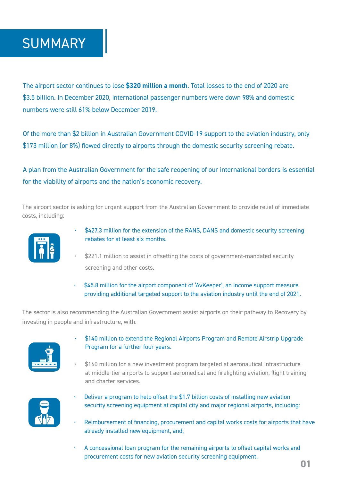### **SUMMARY**

The airport sector continues to lose **\$320 million a month**. Total losses to the end of 2020 are \$3.5 billion. In December 2020, international passenger numbers were down 98% and domestic numbers were still 61% below December 2019.

Of the more than \$2 billion in Australian Government COVID-19 support to the aviation industry, only \$173 million (or 8%) flowed directly to airports through the domestic security screening rebate.

A plan from the Australian Government for the safe reopening of our international borders is essential for the viability of airports and the nation's economic recovery.

Froort sector is asking for urgent supp<br>including: The airport sector is asking for urgent support from the Australian Government to provide relief of immediate costs, including:



- \$427.3 million for the extension of the RANS, DANS and domestic security screening rebates for at least six months.
- \$221.1 million to assist in offsetting the costs of government-mandated security screening and other costs.
- \$45.8 million for the airport component of 'AvKeeper', an income support measure providing additional targeted support to the aviation industry until the end of 2021.

The sector is also recommending the Australian Government assist airports on their pathway to Recovery by investing in people and infrastructure, with:



- \$140 million to extend the Regional Airports Program and Remote Airstrip Upgrade Program for a further four years.
- \$160 million for a new investment program targeted at aeronautical infrastructure at middle-tier airports to support aeromedical and firefighting aviation, flight training and charter services.



- Deliver a program to help offset the \$1.7 billion costs of installing new aviation security screening equipment at capital city and major regional airports, including:
- Reimbursement of financing, procurement and capital works costs for airports that have already installed new equipment, and;
- A concessional loan program for the remaining airports to offset capital works and procurement costs for new aviation security screening equipment.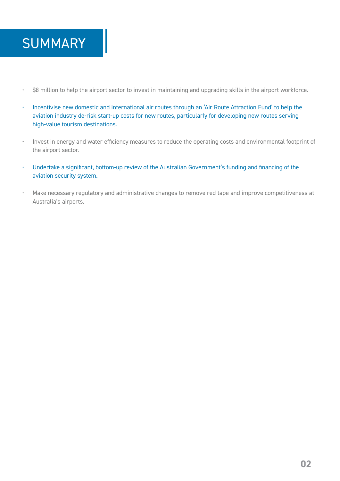

- illion to help the airport sector to ii • \$8 million to help the airport sector to invest in maintaining and upgrading skills in the airport workforce.
- Incentivise new domestic and international air routes through an 'Air Route Attraction Fund' to help the aviation industry de-risk start-up costs for new routes, particularly for developing new routes serving high-value tourism destinations.
- Invest in energy and water efficiency measures to reduce the operating costs and environmental footprint of the airport sector.
- Undertake a significant, bottom-up review of the Australian Government's funding and financing of the aviation security system.
- Make necessary regulatory and administrative changes to remove red tape and improve competitiveness at Australia's airports.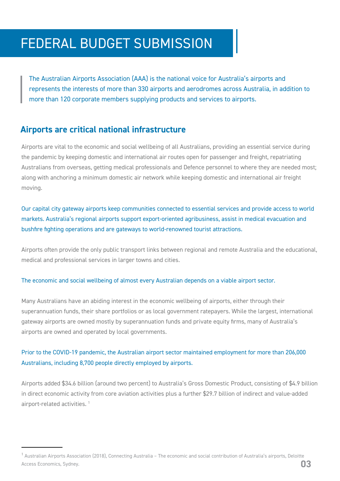## FEDERAL BUDGET SUBMISSION

The Australian Airports Association (AAA) is the national voice for Australia's airports and represents the interests of more than 330 airports and aerodromes across Australia, in addition to more than 120 corporate members supplying products and services to airports.

#### **Airports are critical national infrastructure**

emic by keeping domestic and inter<br>ins from overseas, getting medical Airports are vital to the economic and social wellbeing of all Australians, providing an essential service during the pandemic by keeping domestic and international air routes open for passenger and freight, repatriating Australians from overseas, getting medical professionals and Defence personnel to where they are needed most; along with anchoring a minimum domestic air network while keeping domestic and international air freight moving.

Our capital city gateway airports keep communities connected to essential services and provide access to world markets. Australia's regional airports support export-oriented agribusiness, assist in medical evacuation and bushfire fighting operations and are gateways to world-renowned tourist attractions.

Airports often provide the only public transport links between regional and remote Australia and the educational, medical and professional services in larger towns and cities.

#### The economic and social wellbeing of almost every Australian depends on a viable airport sector.

Many Australians have an abiding interest in the economic wellbeing of airports, either through their superannuation funds, their share portfolios or as local government ratepayers. While the largest, international gateway airports are owned mostly by superannuation funds and private equity firms, many of Australia's airports are owned and operated by local governments.

#### Prior to the COVID-19 pandemic, the Australian airport sector maintained employment for more than 206,000 Australians, including 8,700 people directly employed by airports.

Airports added \$34.6 billion (around two percent) to Australia's Gross Domestic Product, consisting of \$4.9 billion in direct economic activity from core aviation activities plus a further \$29.7 billion of indirect and value-added airport-related activities. 1

<sup>&</sup>lt;sup>1</sup> Australian Airports Association (2018), Connecting Australia - The economic and social contribution of Australia's airports, Deloitte Access Economics, Sydney. **03**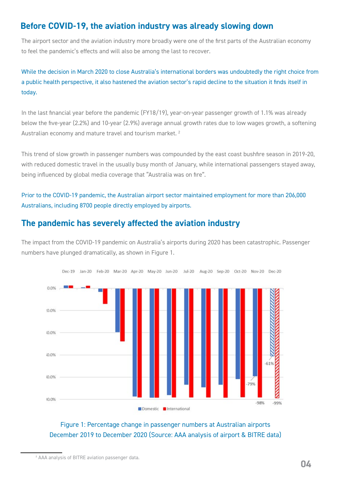#### **Before COVID-19, the aviation industry was already slowing down**

to feel the pandemic's effects and will also be among the last to recover.<br> The airport sector and the aviation industry more broadly were one of the first parts of the Australian economy

While the decision in March 2020 to close Australia's international borders was undoubtedly the right choice from a public health perspective, it also hastened the aviation sector's rapid decline to the situation it finds itself in today.

In the last financial year before the pandemic (FY18/19), year-on-year passenger growth of 1.1% was already below the five-year (2.2%) and 10-year (2.9%) average annual growth rates due to low wages growth, a softening Australian economy and mature travel and tourism market. 2

This trend of slow growth in passenger numbers was compounded by the east coast bushfire season in 2019-20, with reduced domestic travel in the usually busy month of January, while international passengers stayed away, being influenced by global media coverage that "Australia was on fire".

Prior to the COVID-19 pandemic, the Australian airport sector maintained employment for more than 206,000 Australians, including 8700 people directly employed by airports.

#### **The pandemic has severely affected the aviation industry**

The impact from the COVID-19 pandemic on Australia's airports during 2020 has been catastrophic. Passenger numbers have plunged dramatically, as shown in Figure 1.



Figure 1: Percentage change in passenger numbers at Australian airports December 2019 to December 2020 (Source: AAA analysis of airport & BITRE data)

² AAA analysis of BITRE aviation passenger data.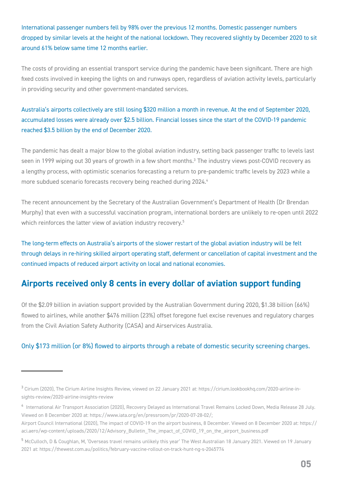around 61% below same time 12 months earlier.<br>-International passenger numbers fell by 98% over the previous 12 months. Domestic passenger numbers dropped by similar levels at the height of the national lockdown. They recovered slightly by December 2020 to sit

The costs of providing an essential transport service during the pandemic have been significant. There are high fixed costs involved in keeping the lights on and runways open, regardless of aviation activity levels, particularly in providing security and other government-mandated services.

#### Australia's airports collectively are still losing \$320 million a month in revenue. At the end of September 2020, accumulated losses were already over \$2.5 billion. Financial losses since the start of the COVID-19 pandemic reached \$3.5 billion by the end of December 2020.

The pandemic has dealt a major blow to the global aviation industry, setting back passenger traffic to levels last seen in 1999 wiping out 30 years of growth in a few short months.<sup>3</sup> The industry views post-COVID recovery as a lengthy process, with optimistic scenarios forecasting a return to pre-pandemic traffic levels by 2023 while a more subdued scenario forecasts recovery being reached during 2024.4

The recent announcement by the Secretary of the Australian Government's Department of Health (Dr Brendan Murphy) that even with a successful vaccination program, international borders are unlikely to re-open until 2022 which reinforces the latter view of aviation industry recovery.<sup>5</sup>

The long-term effects on Australia's airports of the slower restart of the global aviation industry will be felt through delays in re-hiring skilled airport operating staff, deferment or cancellation of capital investment and the continued impacts of reduced airport activity on local and national economies.

#### **Airports received only 8 cents in every dollar of aviation support funding**

Of the \$2.09 billion in aviation support provided by the Australian Government during 2020, \$1.38 billion (66%) flowed to airlines, while another \$476 million (23%) offset foregone fuel excise revenues and regulatory charges from the Civil Aviation Safety Authority (CASA) and Airservices Australia.

#### Only \$173 million (or 8%) flowed to airports through a rebate of domestic security screening charges.

<sup>3</sup> Cirium (2020), The Cirium Airline Insights Review, viewed on 22 January 2021 at: https://cirium.lookbookhq.com/2020-airline-insights-review/2020-airline-insights-review

<sup>4</sup> International Air Transport Association (2020), Recovery Delayed as International Travel Remains Locked Down, Media Release 28 July. Viewed on 8 December 2020 at: https://www.iata.org/en/pressroom/pr/2020-07-28-02/;

Airport Council International (2020), The impact of COVID-19 on the airport business, 8 December. Viewed on 8 December 2020 at: https:// aci.aero/wp-content/uploads/2020/12/Advisory\_Bulletin\_The\_impact\_of\_COVID\_19\_on\_the\_airport\_business.pdf

<sup>5</sup> McCulloch, D & Coughlan, M, 'Overseas travel remains unlikely this year' The West Australian 18 January 2021. Viewed on 19 January 2021 at: https://thewest.com.au/politics/february-vaccine-rollout-on-track-hunt-ng-s-2045774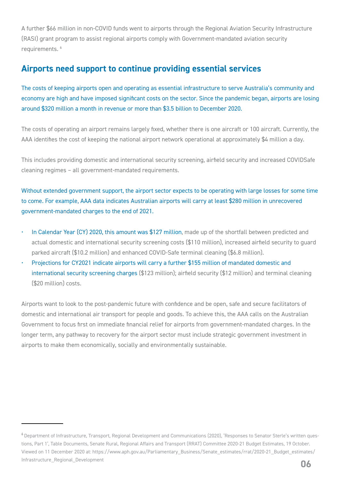$\frac{6}{5}$ A further \$66 million in non-COVID funds went to airports through the Regional Aviation Security Infrastructure (RASI) grant program to assist regional airports comply with Government-mandated aviation security requirements.<sup>6</sup>

#### **Airports need support to continue providing essential services**

The costs of keeping airports open and operating as essential infrastructure to serve Australia's community and economy are high and have imposed significant costs on the sector. Since the pandemic began, airports are losing around \$320 million a month in revenue or more than \$3.5 billion to December 2020.

The costs of operating an airport remains largely fixed, whether there is one aircraft or 100 aircraft. Currently, the AAA identifies the cost of keeping the national airport network operational at approximately \$4 million a day.

This includes providing domestic and international security screening, airfield security and increased COVIDSafe cleaning regimes – all government-mandated requirements.

Without extended government support, the airport sector expects to be operating with large losses for some time to come. For example, AAA data indicates Australian airports will carry at least \$280 million in unrecovered government-mandated charges to the end of 2021.

- In Calendar Year (CY) 2020, this amount was \$127 million, made up of the shortfall between predicted and actual domestic and international security screening costs (\$110 million), increased airfield security to guard parked aircraft (\$10.2 million) and enhanced COVID-Safe terminal cleaning (\$6.8 million).
- Projections for CY2021 indicate airports will carry a further \$155 million of mandated domestic and international security screening charges (\$123 million); airfield security (\$12 million) and terminal cleaning (\$20 million) costs.

Airports want to look to the post-pandemic future with confidence and be open, safe and secure facilitators of domestic and international air transport for people and goods. To achieve this, the AAA calls on the Australian Government to focus first on immediate financial relief for airports from government-mandated charges. In the longer term, any pathway to recovery for the airport sector must include strategic government investment in airports to make them economically, socially and environmentally sustainable.

<sup>6</sup> Department of Infrastructure, Transport, Regional Development and Communications (2020), 'Responses to Senator Sterle's written questions, Part 1', Table Documents, Senate Rural, Regional Affairs and Transport (RRAT) Committee 2020-21 Budget Estimates, 19 October. Viewed on 11 December 2020 at: https://www.aph.gov.au/Parliamentary\_Business/Senate\_estimates/rrat/2020-21\_Budget\_estimates/ Infrastructure\_Regional\_Development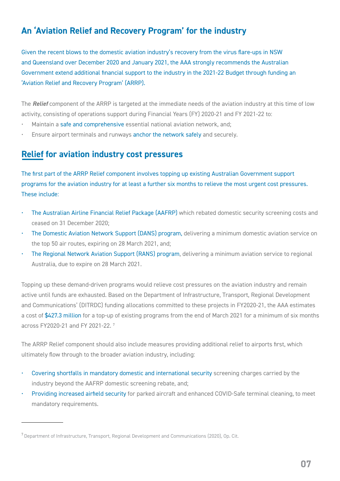#### **An 'Aviation Relief and Recovery Program' for the industry**

Given the recent blows to the domestic aviation industry's recovery from the virus flare-ups in NSW<br>and Queensland over December 2020 and January 2021, the AAA strongly recommends the Australia and Queensland over December 2020 and January 2021, the AAA strongly recommends the Australian Government extend additional financial support to the industry in the 2021-22 Budget through funding an 'Aviation Relief and Recovery Program' (ARRP).

The *Relief* component of the ARRP is targeted at the immediate needs of the aviation industry at this time of low activity, consisting of operations support during Financial Years (FY) 2020-21 and FY 2021-22 to:

- Maintain a safe and comprehensive essential national aviation network, and;
- Ensure airport terminals and runways anchor the network safely and securely.

#### **Relief for aviation industry cost pressures**

The first part of the ARRP Relief component involves topping up existing Australian Government support programs for the aviation industry for at least a further six months to relieve the most urgent cost pressures. These include:

- The Australian Airline Financial Relief Package (AAFRP) which rebated domestic security screening costs and ceased on 31 December 2020;
- The Domestic Aviation Network Support (DANS) program, delivering a minimum domestic aviation service on the top 50 air routes, expiring on 28 March 2021, and;
- The Regional Network Aviation Support (RANS) program, delivering a minimum aviation service to regional Australia, due to expire on 28 March 2021.

Topping up these demand-driven programs would relieve cost pressures on the aviation industry and remain active until funds are exhausted. Based on the Department of Infrastructure, Transport, Regional Development and Communications' (DITRDC) funding allocations committed to these projects in FY2020-21, the AAA estimates a cost of \$427.3 million for a top-up of existing programs from the end of March 2021 for a minimum of six months across FY2020-21 and FY 2021-22. 7

The ARRP Relief component should also include measures providing additional relief to airports first, which ultimately flow through to the broader aviation industry, including:

- Covering shortfalls in mandatory domestic and international security screening charges carried by the industry beyond the AAFRP domestic screening rebate, and;
- Providing increased airfield security for parked aircraft and enhanced COVID-Safe terminal cleaning, to meet mandatory requirements.

<sup>7</sup> Department of Infrastructure, Transport, Regional Development and Communications (2020), Op. Cit.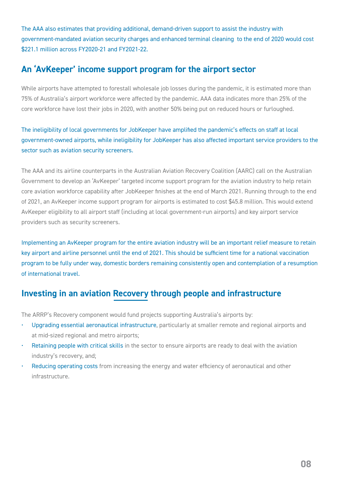\$221.1 million across FY2020-21 and FY2021-22.<br>. The AAA also estimates that providing additional, demand-driven support to assist the industry with government-mandated aviation security charges and enhanced terminal cleaning to the end of 2020 would cost

#### **An 'AvKeeper' income support program for the airport sector**

While airports have attempted to forestall wholesale job losses during the pandemic, it is estimated more than 75% of Australia's airport workforce were affected by the pandemic. AAA data indicates more than 25% of the core workforce have lost their jobs in 2020, with another 50% being put on reduced hours or furloughed.

The ineligibility of local governments for JobKeeper have amplified the pandemic's effects on staff at local government-owned airports, while ineligibility for JobKeeper has also affected important service providers to the sector such as aviation security screeners.

The AAA and its airline counterparts in the Australian Aviation Recovery Coalition (AARC) call on the Australian Government to develop an 'AvKeeper' targeted income support program for the aviation industry to help retain core aviation workforce capability after JobKeeper finishes at the end of March 2021. Running through to the end of 2021, an AvKeeper income support program for airports is estimated to cost \$45.8 million. This would extend AvKeeper eligibility to all airport staff (including at local government-run airports) and key airport service providers such as security screeners.

Implementing an AvKeeper program for the entire aviation industry will be an important relief measure to retain key airport and airline personnel until the end of 2021. This should be sufficient time for a national vaccination program to be fully under way, domestic borders remaining consistently open and contemplation of a resumption of international travel.

#### **Investing in an aviation Recovery through people and infrastructure**

The ARRP's Recovery component would fund projects supporting Australia's airports by:

- Upgrading essential aeronautical infrastructure, particularly at smaller remote and regional airports and at mid-sized regional and metro airports;
- Retaining people with critical skills in the sector to ensure airports are ready to deal with the aviation industry's recovery, and;
- Reducing operating costs from increasing the energy and water efficiency of aeronautical and other infrastructure.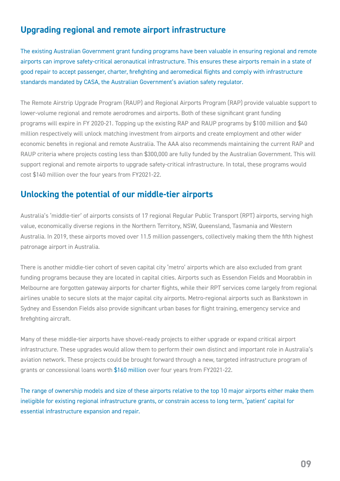#### **Upgrading regional and remote airport infrastructure**

The existing Australian Government grant funding programs have been valuable in ensuring regional and remote<br>airports can improve safety-critical aeronautical infrastructure. This ensures these airports remain in a state o airports can improve safety-critical aeronautical infrastructure. This ensures these airports remain in a state of good repair to accept passenger, charter, firefighting and aeromedical flights and comply with infrastructure standards mandated by CASA, the Australian Government's aviation safety regulator.

The Remote Airstrip Upgrade Program (RAUP) and Regional Airports Program (RAP) provide valuable support to lower-volume regional and remote aerodromes and airports. Both of these significant grant funding programs will expire in FY 2020-21. Topping up the existing RAP and RAUP programs by \$100 million and \$40 million respectively will unlock matching investment from airports and create employment and other wider economic benefits in regional and remote Australia. The AAA also recommends maintaining the current RAP and RAUP criteria where projects costing less than \$300,000 are fully funded by the Australian Government. This will support regional and remote airports to upgrade safety-critical infrastructure. In total, these programs would cost \$140 million over the four years from FY2021-22.

#### **Unlocking the potential of our middle-tier airports**

Australia's 'middle-tier' of airports consists of 17 regional Regular Public Transport (RPT) airports, serving high value, economically diverse regions in the Northern Territory, NSW, Queensland, Tasmania and Western Australia. In 2019, these airports moved over 11.5 million passengers, collectively making them the fifth highest patronage airport in Australia.

There is another middle-tier cohort of seven capital city 'metro' airports which are also excluded from grant funding programs because they are located in capital cities. Airports such as Essendon Fields and Moorabbin in Melbourne are forgotten gateway airports for charter flights, while their RPT services come largely from regional airlines unable to secure slots at the major capital city airports. Metro-regional airports such as Bankstown in Sydney and Essendon Fields also provide significant urban bases for flight training, emergency service and firefighting aircraft.

Many of these middle-tier airports have shovel-ready projects to either upgrade or expand critical airport infrastructure. These upgrades would allow them to perform their own distinct and important role in Australia's aviation network. These projects could be brought forward through a new, targeted infrastructure program of grants or concessional loans worth \$160 million over four years from FY2021-22.

The range of ownership models and size of these airports relative to the top 10 major airports either make them ineligible for existing regional infrastructure grants, or constrain access to long term, 'patient' capital for essential infrastructure expansion and repair.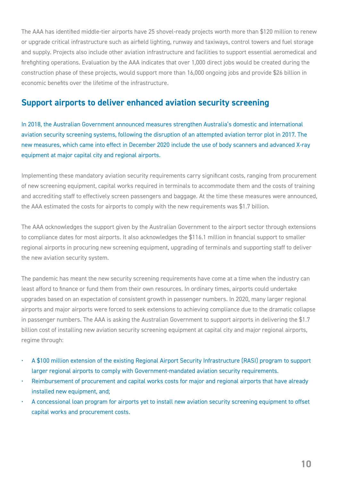and supply. Projects also include other aviation infrastructure and facilities to support essential aeromedical and<br>firefighting operations. Evaluation by the AAA indicates that over 1,000 direct jobs would be created duri The AAA has identified middle-tier airports have 25 shovel-ready projects worth more than \$120 million to renew or upgrade critical infrastructure such as airfield lighting, runway and taxiways, control towers and fuel storage firefighting operations. Evaluation by the AAA indicates that over 1,000 direct jobs would be created during the construction phase of these projects, would support more than 16,000 ongoing jobs and provide \$26 billion in economic benefits over the lifetime of the infrastructure.

#### **Support airports to deliver enhanced aviation security screening**

In 2018, the Australian Government announced measures strengthen Australia's domestic and international aviation security screening systems, following the disruption of an attempted aviation terror plot in 2017. The new measures, which came into effect in December 2020 include the use of body scanners and advanced X-ray equipment at major capital city and regional airports.

Implementing these mandatory aviation security requirements carry significant costs, ranging from procurement of new screening equipment, capital works required in terminals to accommodate them and the costs of training and accrediting staff to effectively screen passengers and baggage. At the time these measures were announced, the AAA estimated the costs for airports to comply with the new requirements was \$1.7 billion.

The AAA acknowledges the support given by the Australian Government to the airport sector through extensions to compliance dates for most airports. It also acknowledges the \$116.1 million in financial support to smaller regional airports in procuring new screening equipment, upgrading of terminals and supporting staff to deliver the new aviation security system.

The pandemic has meant the new security screening requirements have come at a time when the industry can least afford to finance or fund them from their own resources. In ordinary times, airports could undertake upgrades based on an expectation of consistent growth in passenger numbers. In 2020, many larger regional airports and major airports were forced to seek extensions to achieving compliance due to the dramatic collapse in passenger numbers. The AAA is asking the Australian Government to support airports in delivering the \$1.7 billion cost of installing new aviation security screening equipment at capital city and major regional airports, regime through:

- A \$100 million extension of the existing Regional Airport Security Infrastructure (RASI) program to support larger regional airports to comply with Government-mandated aviation security requirements.
- Reimbursement of procurement and capital works costs for major and regional airports that have already installed new equipment, and;
- A concessional loan program for airports yet to install new aviation security screening equipment to offset capital works and procurement costs.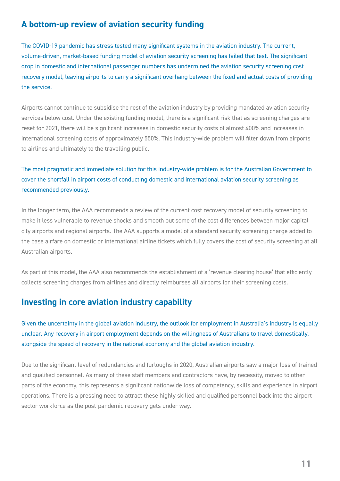#### **A bottom-up review of aviation security funding**

ID-TY pandemic has stress tested in<br>driven, market-based funding mode The COVID-19 pandemic has stress tested many significant systems in the aviation industry. The current, volume-driven, market-based funding model of aviation security screening has failed that test. The significant drop in domestic and international passenger numbers has undermined the aviation security screening cost recovery model, leaving airports to carry a significant overhang between the fixed and actual costs of providing the service.

Airports cannot continue to subsidise the rest of the aviation industry by providing mandated aviation security services below cost. Under the existing funding model, there is a significant risk that as screening charges are reset for 2021, there will be significant increases in domestic security costs of almost 400% and increases in international screening costs of approximately 550%. This industry-wide problem will filter down from airports to airlines and ultimately to the travelling public.

The most pragmatic and immediate solution for this industry-wide problem is for the Australian Government to cover the shortfall in airport costs of conducting domestic and international aviation security screening as recommended previously.

In the longer term, the AAA recommends a review of the current cost recovery model of security screening to make it less vulnerable to revenue shocks and smooth out some of the cost differences between major capital city airports and regional airports. The AAA supports a model of a standard security screening charge added to the base airfare on domestic or international airline tickets which fully covers the cost of security screening at all Australian airports.

As part of this model, the AAA also recommends the establishment of a 'revenue clearing house' that efficiently collects screening charges from airlines and directly reimburses all airports for their screening costs.

#### **Investing in core aviation industry capability**

Given the uncertainty in the global aviation industry, the outlook for employment in Australia's industry is equally unclear. Any recovery in airport employment depends on the willingness of Australians to travel domestically, alongside the speed of recovery in the national economy and the global aviation industry.

Due to the significant level of redundancies and furloughs in 2020, Australian airports saw a major loss of trained and qualified personnel. As many of these staff members and contractors have, by necessity, moved to other parts of the economy, this represents a significant nationwide loss of competency, skills and experience in airport operations. There is a pressing need to attract these highly skilled and qualified personnel back into the airport sector workforce as the post-pandemic recovery gets under way.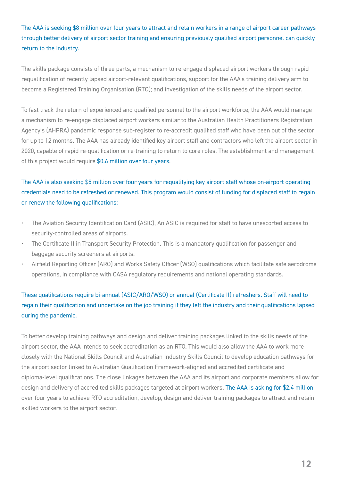$\theta$  the industry. The AAA is seeking \$8 million over four years to attract and retain workers in a range of airport career pathways through better delivery of airport sector training and ensuring previously qualified airport personnel can quickly return to the industry.

The skills package consists of three parts, a mechanism to re-engage displaced airport workers through rapid requalification of recently lapsed airport-relevant qualifications, support for the AAA's training delivery arm to become a Registered Training Organisation (RTO); and investigation of the skills needs of the airport sector.

To fast track the return of experienced and qualified personnel to the airport workforce, the AAA would manage a mechanism to re-engage displaced airport workers similar to the Australian Health Practitioners Registration Agency's (AHPRA) pandemic response sub-register to re-accredit qualified staff who have been out of the sector for up to 12 months. The AAA has already identified key airport staff and contractors who left the airport sector in 2020, capable of rapid re-qualification or re-training to return to core roles. The establishment and management of this project would require \$0.6 million over four years.

#### The AAA is also seeking \$5 million over four years for requalifying key airport staff whose on-airport operating credentials need to be refreshed or renewed. This program would consist of funding for displaced staff to regain or renew the following qualifications:

- The Aviation Security Identification Card (ASIC), An ASIC is required for staff to have unescorted access to security-controlled areas of airports.
- The Certificate II in Transport Security Protection. This is a mandatory qualification for passenger and baggage security screeners at airports.
- Airfield Reporting Officer (ARO) and Works Safety Officer (WSO) qualifications which facilitate safe aerodrome operations, in compliance with CASA regulatory requirements and national operating standards.

#### These qualifications require bi-annual (ASIC/ARO/WSO) or annual (Certificate II) refreshers. Staff will need to regain their qualification and undertake on the job training if they left the industry and their qualifications lapsed during the pandemic.

To better develop training pathways and design and deliver training packages linked to the skills needs of the airport sector, the AAA intends to seek accreditation as an RTO. This would also allow the AAA to work more closely with the National Skills Council and Australian Industry Skills Council to develop education pathways for the airport sector linked to Australian Qualification Framework-aligned and accredited certificate and diploma-level qualifications. The close linkages between the AAA and its airport and corporate members allow for design and delivery of accredited skills packages targeted at airport workers. The AAA is asking for \$2.4 million over four years to achieve RTO accreditation, develop, design and deliver training packages to attract and retain skilled workers to the airport sector.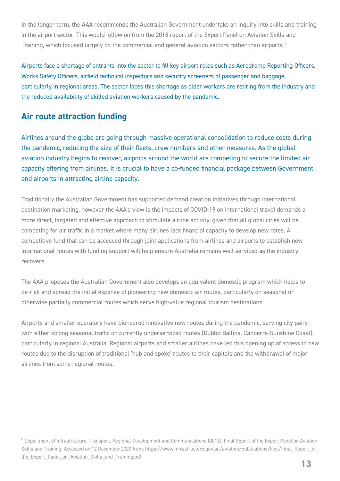In the longer term, the AAA recommends the Australian Government undertake an inquiry into skills and training in the airport sector. This would follow on from the 2018 report of the Expert Panel on Aviation Skills and Training, which focused largely on the commercial and general aviation sectors rather than airports. 8

n aining, which locused targety on the commerciat and generat aviation sectors rather than airports.<br>Airports face a shortage of entrants into the sector to fill key airport roles such as Aerodrome Reporting Officers, Works Safety Officers, airfield technical inspectors and security screeners of passenger and baggage, particularly in regional areas. The sector faces this shortage as older workers are retiring from the industry and the reduced availability of skilled aviation workers caused by the pandemic.

#### **Air route attraction funding**

Airlines around the globe are going through massive operational consolidation to reduce costs during the pandemic, reducing the size of their fleets, crew numbers and other measures. As the global aviation industry begins to recover, airports around the world are competing to secure the limited air capacity offering from airlines. It is crucial to have a co-funded financial package between Government and airports in attracting airline capacity.

Traditionally the Australian Government has supported demand creation initiatives through international destination marketing, however the AAA's view is the impacts of COVID-19 on international travel demands a more direct, targeted and effective approach to stimulate airline activity, given that all global cities will be competing for air traffic in a market where many airlines lack financial capacity to develop new rates. A competitive fund that can be accessed through joint applications from airlines and airports to establish new international routes with funding support will help ensure Australia remains well serviced as the industry recovers.

The AAA proposes the Australian Government also develops an equivalent domestic program which helps to de-risk and spread the initial expense of pioneering new domestic air routes, particularly on seasonal or otherwise partially commercial routes which serve high-value regional tourism destinations.

Airports and smaller operators have pioneered innovative new routes during the pandemic, serving city pairs with either strong seasonal traffic or currently underserviced routes (Dubbo-Ballina, Canberra-Sunshine Coast), particularly in regional Australia. Regional airports and smaller airlines have led this opening up of access to new routes due to the disruption of traditional 'hub and spoke' routes to their capitals and the withdrawal of major airlines from some regional routes.

<sup>8</sup> Department of Infrastructure, Transport, Regional Development and Communications (2018), Final Report of the Expert Panel on Aviation Skills and Training. Accessed on 12 December 2020 from: https://www.infrastructure.gov.au/aviation/publications/files/Final\_Report\_of the\_Expert\_Panel\_on\_Aviation\_Skills\_and\_Training.pdf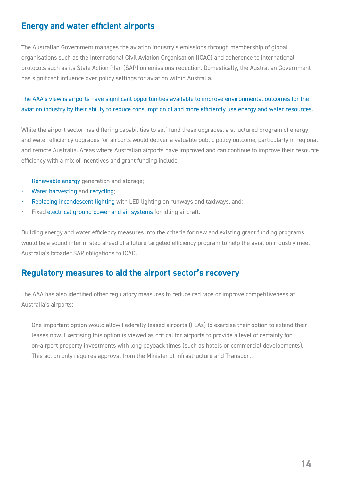#### **Energy and water efficient airports**

The Australian Government manages the aviation industry's emissions through membership of global<br>organisations such as the International Civil Aviation Organisation (ICAO) and adherence to international The Australian Government manages the aviation industry's emissions through membership of global protocols such as its State Action Plan (SAP) on emissions reduction. Domestically, the Australian Government has significant influence over policy settings for aviation within Australia.

#### The AAA's view is airports have significant opportunities available to improve environmental outcomes for the aviation industry by their ability to reduce consumption of and more efficiently use energy and water resources.

While the airport sector has differing capabilities to self-fund these upgrades, a structured program of energy and water efficiency upgrades for airports would deliver a valuable public policy outcome, particularly in regional and remote Australia. Areas where Australian airports have improved and can continue to improve their resource efficiency with a mix of incentives and grant funding include:

- Renewable energy generation and storage;
- Water harvesting and recycling;
- Replacing incandescent lighting with LED lighting on runways and taxiways, and;
- Fixed electrical ground power and air systems for idling aircraft.

Building energy and water efficiency measures into the criteria for new and existing grant funding programs would be a sound interim step ahead of a future targeted efficiency program to help the aviation industry meet Australia's broader SAP obligations to ICAO.

#### **Regulatory measures to aid the airport sector's recovery**

The AAA has also identified other regulatory measures to reduce red tape or improve competitiveness at Australia's airports:

• One important option would allow Federally leased airports (FLAs) to exercise their option to extend their leases now. Exercising this option is viewed as critical for airports to provide a level of certainty for on-airport property investments with long payback times (such as hotels or commercial developments). This action only requires approval from the Minister of Infrastructure and Transport.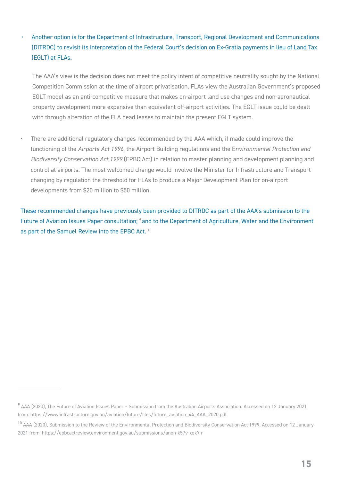(DITRDC) to revisit its interpretation of the Federal Court's decision on Ex-Gratia payments in lieu of Land Tax<br>(EGLT) at FLAs. • Another option is for the Department of Infrastructure, Transport, Regional Development and Communications (EGLT) at FLAs.

The AAA's view is the decision does not meet the policy intent of competitive neutrality sought by the National Competition Commission at the time of airport privatisation. FLAs view the Australian Government's proposed EGLT model as an anti-competitive measure that makes on-airport land use changes and non-aeronautical property development more expensive than equivalent off-airport activities. The EGLT issue could be dealt with through alteration of the FLA head leases to maintain the present EGLT system.

• There are additional regulatory changes recommended by the AAA which, if made could improve the functioning of the *Airports Act 1996*, the Airport Building regulations and the E*nvironmental Protection and Biodiversity Conservation Act 1999* (EPBC Act) in relation to master planning and development planning and control at airports. The most welcomed change would involve the Minister for Infrastructure and Transport changing by regulation the threshold for FLAs to produce a Major Development Plan for on-airport developments from \$20 million to \$50 million.

These recommended changes have previously been provided to DITRDC as part of the AAA's submission to the Future of Aviation Issues Paper consultation; <sup>9</sup> and to the Department of Agriculture, Water and the Environment as part of the Samuel Review into the EPBC Act. 10

<sup>9</sup> AAA (2020), The Future of Aviation Issues Paper – Submission from the Australian Airports Association. Accessed on 12 January 2021 from: https://www.infrastructure.gov.au/aviation/future/files/future\_aviation\_44\_AAA\_2020.pdf

<sup>&</sup>lt;sup>10</sup> AAA (2020), Submission to the Review of the Environmental Protection and Biodiversity Conservation Act 1999. Accessed on 12 January 2021 from: https://epbcactreview.environment.gov.au/submissions/anon-k57v-xqk7-r